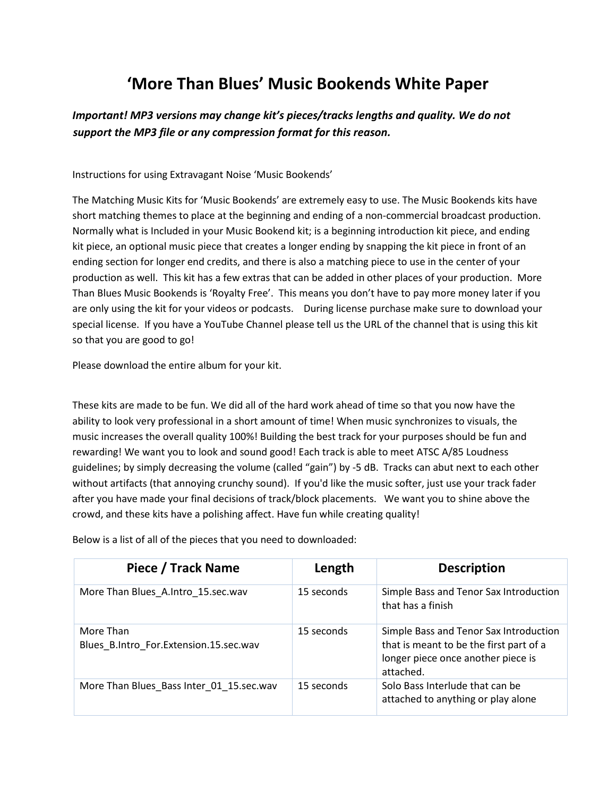## **'More Than Blues' Music Bookends White Paper**

## *Important! MP3 versions may change kit's pieces/tracks lengths and quality. We do not support the MP3 file or any compression format for this reason.*

Instructions for using Extravagant Noise 'Music Bookends'

The Matching Music Kits for 'Music Bookends' are extremely easy to use. The Music Bookends kits have short matching themes to place at the beginning and ending of a non-commercial broadcast production. Normally what is Included in your Music Bookend kit; is a beginning introduction kit piece, and ending kit piece, an optional music piece that creates a longer ending by snapping the kit piece in front of an ending section for longer end credits, and there is also a matching piece to use in the center of your production as well. This kit has a few extras that can be added in other places of your production. More Than Blues Music Bookends is 'Royalty Free'. This means you don't have to pay more money later if you are only using the kit for your videos or podcasts. During license purchase make sure to download your special license. If you have a YouTube Channel please tell us the URL of the channel that is using this kit so that you are good to go!

Please download the entire album for your kit.

These kits are made to be fun. We did all of the hard work ahead of time so that you now have the ability to look very professional in a short amount of time! When music synchronizes to visuals, the music increases the overall quality 100%! Building the best track for your purposes should be fun and rewarding! We want you to look and sound good! Each track is able to meet ATSC A/85 Loudness guidelines; by simply decreasing the volume (called "gain") by -5 dB. Tracks can abut next to each other without artifacts (that annoying crunchy sound). If you'd like the music softer, just use your track fader after you have made your final decisions of track/block placements. We want you to shine above the crowd, and these kits have a polishing affect. Have fun while creating quality!

| Piece / Track Name                                  | Length     | <b>Description</b>                                                                                                                   |
|-----------------------------------------------------|------------|--------------------------------------------------------------------------------------------------------------------------------------|
| More Than Blues A.Intro 15.sec.wav                  | 15 seconds | Simple Bass and Tenor Sax Introduction<br>that has a finish                                                                          |
| More Than<br>Blues B.Intro For.Extension.15.sec.wav | 15 seconds | Simple Bass and Tenor Sax Introduction<br>that is meant to be the first part of a<br>longer piece once another piece is<br>attached. |
| More Than Blues Bass Inter 01 15.sec.wav            | 15 seconds | Solo Bass Interlude that can be<br>attached to anything or play alone                                                                |

Below is a list of all of the pieces that you need to downloaded: